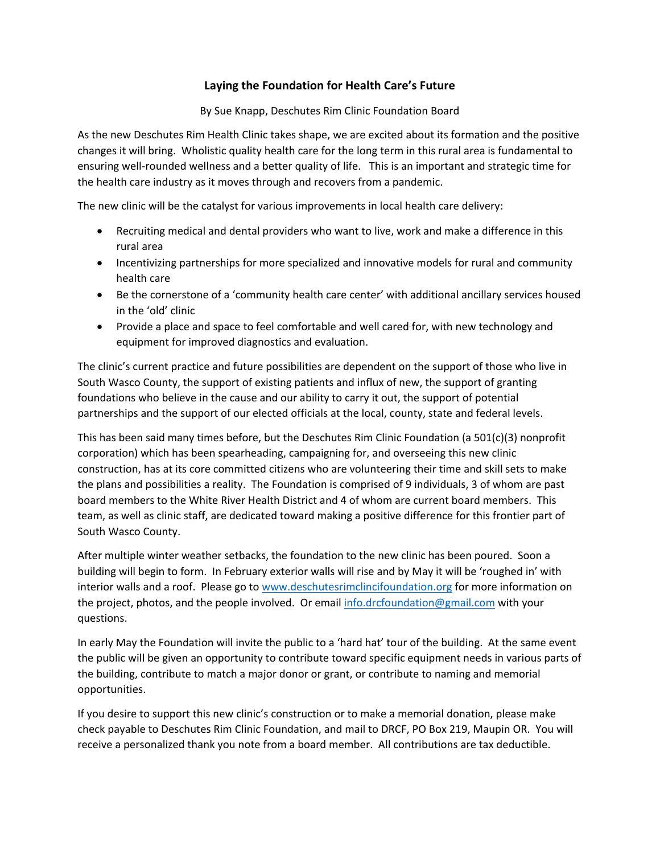## **Laying the Foundation for Health Care's Future**

By Sue Knapp, Deschutes Rim Clinic Foundation Board

As the new Deschutes Rim Health Clinic takes shape, we are excited about its formation and the positive changes it will bring. Wholistic quality health care for the long term in this rural area is fundamental to ensuring well-rounded wellness and a better quality of life. This is an important and strategic time for the health care industry as it moves through and recovers from a pandemic.

The new clinic will be the catalyst for various improvements in local health care delivery:

- Recruiting medical and dental providers who want to live, work and make a difference in this rural area
- Incentivizing partnerships for more specialized and innovative models for rural and community health care
- Be the cornerstone of a 'community health care center' with additional ancillary services housed in the 'old' clinic
- Provide a place and space to feel comfortable and well cared for, with new technology and equipment for improved diagnostics and evaluation.

The clinic's current practice and future possibilities are dependent on the support of those who live in South Wasco County, the support of existing patients and influx of new, the support of granting foundations who believe in the cause and our ability to carry it out, the support of potential partnerships and the support of our elected officials at the local, county, state and federal levels.

This has been said many times before, but the Deschutes Rim Clinic Foundation (a  $501(c)(3)$  nonprofit corporation) which has been spearheading, campaigning for, and overseeing this new clinic construction, has at its core committed citizens who are volunteering their time and skill sets to make the plans and possibilities a reality. The Foundation is comprised of 9 individuals, 3 of whom are past board members to the White River Health District and 4 of whom are current board members. This team, as well as clinic staff, are dedicated toward making a positive difference for this frontier part of South Wasco County.

After multiple winter weather setbacks, the foundation to the new clinic has been poured. Soon a building will begin to form. In February exterior walls will rise and by May it will be 'roughed in' with interior walls and a roof. Please go to [www.deschutesrimclincifoundation.org](http://www.deschutesrimclincifoundation.org/) for more information on the project, photos, and the people involved. Or email [info.drcfoundation@gmail.com](mailto:info.drcfoundation@gmail.com) with your questions.

In early May the Foundation will invite the public to a 'hard hat' tour of the building. At the same event the public will be given an opportunity to contribute toward specific equipment needs in various parts of the building, contribute to match a major donor or grant, or contribute to naming and memorial opportunities.

If you desire to support this new clinic's construction or to make a memorial donation, please make check payable to Deschutes Rim Clinic Foundation, and mail to DRCF, PO Box 219, Maupin OR. You will receive a personalized thank you note from a board member. All contributions are tax deductible.